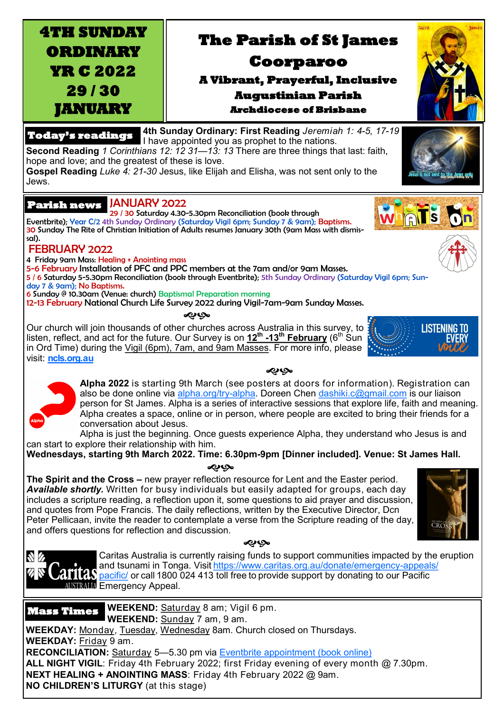**ORDINARY YR C 2022 29 / 30** 

**JANUARY** 

**4TH SUNDAY** 

# **The Parish of St James**

**Coorparoo** 

## **A Vibrant, Prayerful, Inclusive Augustinian Parish Archdiocese of Brisbane**

### **Today's readings**

**4th Sunday Ordinary: First Reading** *Jeremiah 1: 4-5, 17-19*  I have appointed you as prophet to the nations. **Second Reading** *1 Corinthians 12: 12 31—13: 13* There are three things that last: faith, hope and love; and the greatest of these is love.

**Gospel Reading** *Luke 4: 21-30* Jesus, like Elijah and Elisha, was not sent only to the Jews.

### JANUARY 2022 **Parish news**

29 / 30 Saturday 4.30-5.30pm Reconciliation (book through Eventbrite); Year C/2 4th Sunday Ordinary (Saturday Vigil 6pm; Sunday 7 & 9am); Baptisms. 30 Sunday The Rite of Christian Initiation of Adults resumes January 30th (9am Mass with dismissal).

### FEBRUARY 2022

4 Friday 9am Mass: Healing + Anointing mass

and offers questions for reflection and discussion.

5-6 February Installation of PFC and PPC members at the 7am and/or 9am Masses.

5 / 6 Saturday 5-5.30pm Reconciliation (book through Eventbrite); 5th Sunday Ordinary (Saturday Vigil 6pm; Sun-

day 7 & 9am); No Baptisms.

N Z

6 Sunday @ 10.30am (Venue: church) Baptismal Preparation morning 12-13 February National Church Life Survey 2022 during Vigil-7am-9am Sunday Masses.

<€€

Our church will join thousands of other churches across Australia in this survey, to listen, reflect, and act for the future. Our Survey is on **12th -13th February** (6th Sun in Ord Time) during the Vigil (6pm), 7am, and 9am Masses. For more info, please visit: **<ncls.org.au>**

> **Alpha 2022** is starting 9th March (see posters at doors for information). Registration can also be done online via [alpha.org/try](alpha.org/try-alpha)-alpha. Doreen Chen [dashiki.c@gmail.com](mailto:dashiki.c@gmail.com?subject=Alpha%202022) is our liaison person for St James. Alpha is a series of interactive sessions that explore life, faith and meaning. Alpha creates a space, online or in person, where people are excited to bring their friends for a conversation about Jesus.

**DO** 

Alpha is just the beginning. Once guests experience Alpha, they understand who Jesus is and can start to explore their relationship with him.

**Wednesdays, starting 9th March 2022. Time: 6.30pm-9pm [Dinner included]. Venue: St James Hall.**  $\boldsymbol{\mathcal{O}}$ 

**The Spirit and the Cross –** new prayer reflection resource for Lent and the Easter period. *Available shortly.* Written for busy individuals but easily adapted for groups, each day includes a scripture reading, a reflection upon it, some questions to aid prayer and discussion, and quotes from Pope Francis. The daily reflections, written by the Executive Director, Dcn Peter Pellicaan, invite the reader to contemplate a verse from the Scripture reading of the day,





Caritas Australia is currently raising funds to support communities impacted by the eruption and tsunami in Tonga. Visit[https://www.caritas.org.au/donate/emergency](https://www.caritas.org.au/donate/emergency-appeals/pacific/)-appeals/ pand isunami in Tonga. Visit https://www.cantas.org.au/donate/emergency-appears<br>ITAN [pacific/](https://www.caritas.org.au/donate/emergency-appeals/pacific/) or call 1800 024 413 toll free to provide support by donating to our Pacific **AUSTRALLA Emergency Appeal.** 

**WEEKEND:** Saturday 8 am; Vigil 6 pm. **WEEKEND:** Sunday 7 am, 9 am. **WEEKDAY:** Monday, Tuesday, Wednesday 8am. Church closed on Thursdays. **WEEKDAY:** Friday 9 am. **RECONCILIATION:** Saturday 5-5.30 pm via **Eventbrite appointment (book online) ALL NIGHT VIGIL**: Friday 4th February 2022; first Friday evening of every month @ 7.30pm. **NEXT HEALING + ANOINTING MASS**: Friday 4th February 2022 @ 9am. **NO CHILDREN'S LITURGY** (at this stage) **Mass Times** 







WHATS

Saint